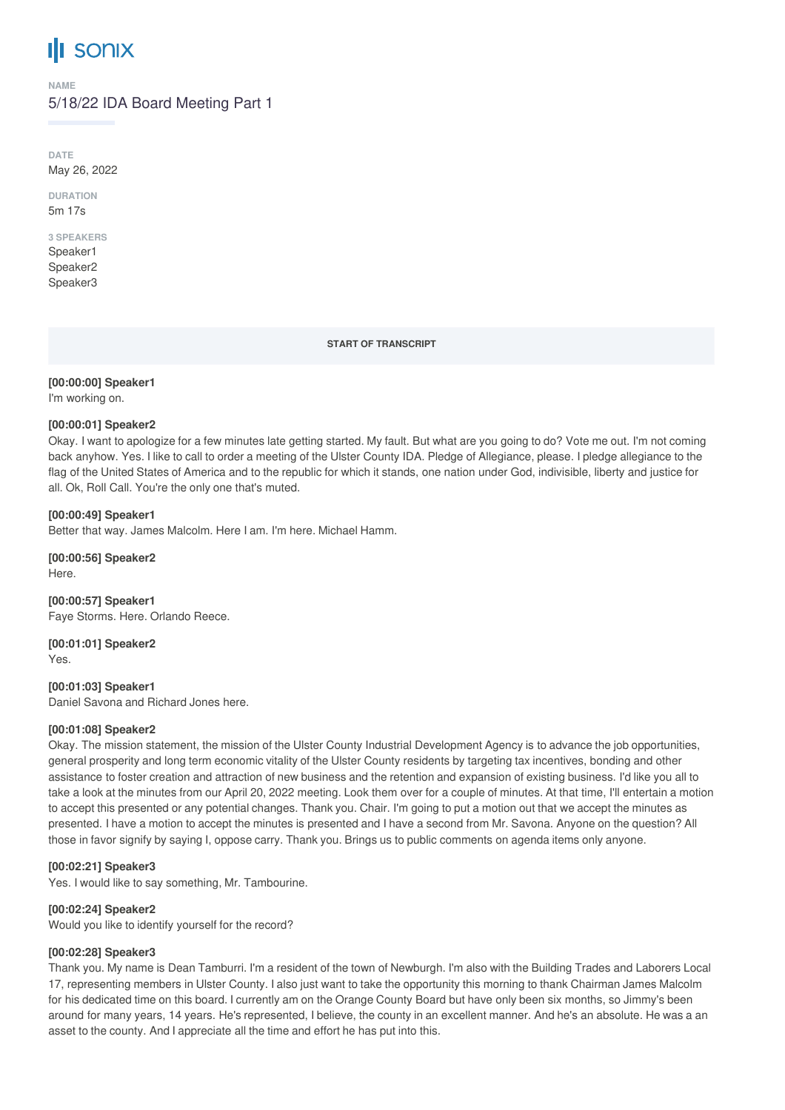# **III** sonix

**NAME**

# 5/18/22 IDA Board Meeting Part 1

**DATE** May 26, 2022

**DURATION** 5m 17s

# **3 SPEAKERS**

Speaker1 Speaker2 Speaker3

**START OF TRANSCRIPT**

# **[00:00:00] Speaker1**

I'm working on.

## **[00:00:01] Speaker2**

Okay. I want to apologize for a few minutes late getting started. My fault. But what are you going to do? Vote me out. I'm not coming back anyhow. Yes. I like to call to order a meeting of the Ulster County IDA. Pledge of Allegiance, please. I pledge allegiance to the flag of the United States of America and to the republic for which it stands, one nation under God, indivisible, liberty and justice for all. Ok, Roll Call. You're the only one that's muted.

## **[00:00:49] Speaker1**

Better that way. James Malcolm. Here I am. I'm here. Michael Hamm.

**[00:00:56] Speaker2** Here.

**[00:00:57] Speaker1** Faye Storms. Here. Orlando Reece.

**[00:01:01] Speaker2** Yes.

**[00:01:03] Speaker1** Daniel Savona and Richard Jones here.

#### **[00:01:08] Speaker2**

Okay. The mission statement, the mission of the Ulster County Industrial Development Agency is to advance the job opportunities, general prosperity and long term economic vitality of the Ulster County residents by targeting tax incentives, bonding and other assistance to foster creation and attraction of new business and the retention and expansion of existing business. I'd like you all to take a look at the minutes from our April 20, 2022 meeting. Look them over for a couple of minutes. At that time, I'll entertain a motion to accept this presented or any potential changes. Thank you. Chair. I'm going to put a motion out that we accept the minutes as presented. I have a motion to accept the minutes is presented and I have a second from Mr. Savona. Anyone on the question? All those in favor signify by saying I, oppose carry. Thank you. Brings us to public comments on agenda items only anyone.

# **[00:02:21] Speaker3**

Yes. I would like to say something, Mr. Tambourine.

#### **[00:02:24] Speaker2**

Would you like to identify yourself for the record?

#### **[00:02:28] Speaker3**

Thank you. My name is Dean Tamburri. I'm a resident of the town of Newburgh. I'm also with the Building Trades and Laborers Local 17, representing members in Ulster County. I also just want to take the opportunity this morning to thank Chairman James Malcolm for his dedicated time on this board. I currently am on the Orange County Board but have only been six months, so Jimmy's been around for many years, 14 years. He's represented, I believe, the county in an excellent manner. And he's an absolute. He was a an asset to the county. And I appreciate all the time and effort he has put into this.